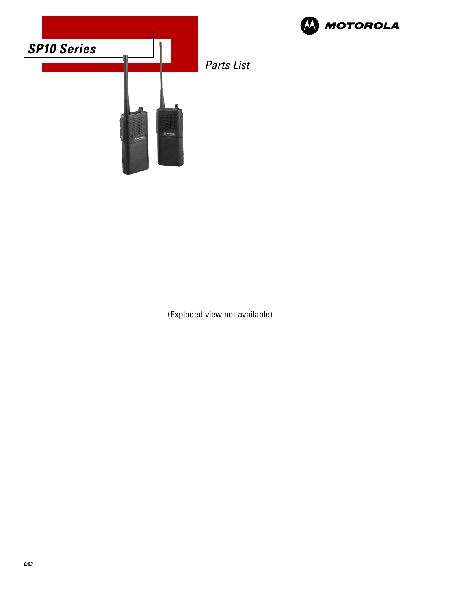



(Exploded view not available)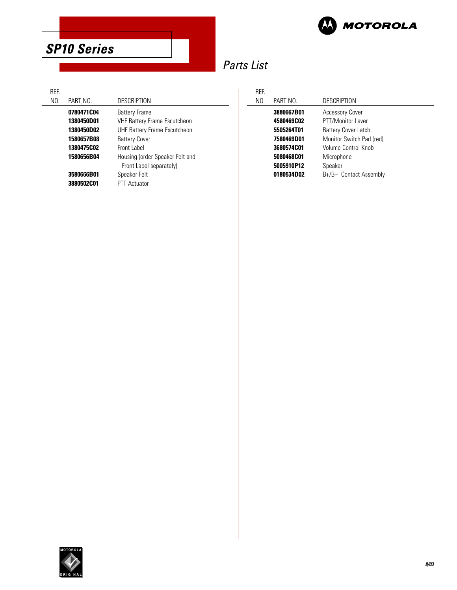

# Parts List

| <b>RFF</b> |                   |                                     |
|------------|-------------------|-------------------------------------|
| NO.        | PART NO.          | <b>DESCRIPTION</b>                  |
|            | 0780471C04        | <b>Battery Frame</b>                |
|            | 1380450D01        | <b>VHF Battery Frame Escutcheon</b> |
|            | 1380450D02        | UHF Battery Frame Escutcheon        |
|            | 1580657B08        | <b>Battery Cover</b>                |
|            | <b>1380475C02</b> | Front Label                         |
|            | 1580656B04        | Housing (order Speaker Felt and     |
|            |                   | Front Label separately)             |
|            | 3580666B01        | Speaker Felt                        |
|            | 3880502C01        | <b>PTT Actuator</b>                 |
|            |                   |                                     |

| REF. |            |                            |
|------|------------|----------------------------|
| NO.  | PART NO.   | DESCRIPTION                |
|      | 3880667B01 | <b>Accessory Cover</b>     |
|      | 4580469C02 | PTT/Monitor Lever          |
|      | 5505264T01 | <b>Battery Cover Latch</b> |
|      | 7580469D01 | Monitor Switch Pad (red)   |
|      | 3680574C01 | Volume Control Knob        |
|      | 5080468C01 | Microphone                 |
|      | 5005910P12 | Speaker                    |
|      | 0180534D02 | B+/B- Contact Assembly     |

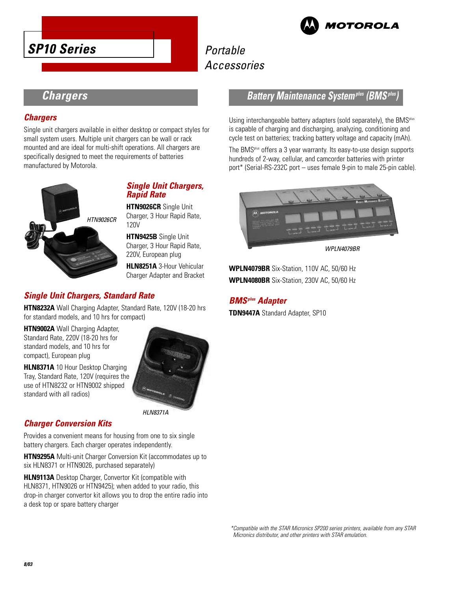

# **Portable** Accessories

# **Chargers**

## **Chargers**

Single unit chargers available in either desktop or compact styles for small system users. Multiple unit chargers can be wall or rack mounted and are ideal for multi-shift operations. All chargers are specifically designed to meet the requirements of batteries manufactured by Motorola.



## **Single Unit Chargers, Rapid Rate**

**HTN9026CR** Single Unit Charger, 3 Hour Rapid Rate, 120V

**HTN9425B** Single Unit Charger, 3 Hour Rapid Rate, 220V, European plug

**HLN8251A** 3-Hour Vehicular Charger Adapter and Bracket

# **Single Unit Chargers, Standard Rate**

**HTN8232A** Wall Charging Adapter, Standard Rate, 120V (18-20 hrs for standard models, and 10 hrs for compact)

**HTN9002A** Wall Charging Adapter, Standard Rate, 220V (18-20 hrs for standard models, and 10 hrs for compact), European plug

**HLN8371A** 10 Hour Desktop Charging Tray, Standard Rate, 120V (requires the use of HTN8232 or HTN9002 shipped standard with all radios)



## **Charger Conversion Kits**

Provides a convenient means for housing from one to six single battery chargers. Each charger operates independently.

**HTN9295A** Multi-unit Charger Conversion Kit (accommodates up to six HLN8371 or HTN9026, purchased separately)

**HLN9113A** Desktop Charger, Convertor Kit (compatible with HLN8371, HTN9026 or HTN9425); when added to your radio, this drop-in charger convertor kit allows you to drop the entire radio into a desk top or spare battery charger

# **Battery Maintenance Systemplus (BMSplus)**

Using interchangeable battery adapters (sold separately), the BMS<sup>plus</sup> is capable of charging and discharging, analyzing, conditioning and cycle test on batteries; tracking battery voltage and capacity (mAh).

The BMSplus offers a 3 year warranty. Its easy-to-use design supports hundreds of 2-way, cellular, and camcorder batteries with printer port\* (Serial-RS-232C port – uses female 9-pin to male 25-pin cable).



WPI N4079RR

**WPLN4079BR** Six-Station, 110V AC, 50/60 Hz **WPLN4080BR** Six-Station, 230V AC, 50/60 Hz

## **BMSplus Adapter**

**TDN9447A** Standard Adapter, SP10

\*Compatible with the STAR Micronics SP200 series printers, available from any STAR Micronics distributor, and other printers with STAR emulation.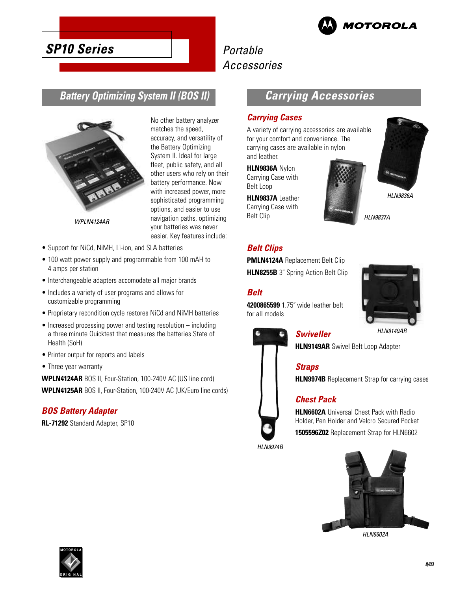

# Portable Accessories

# **Battery Optimizing System II (BOS II)**



WPLN4124AR

No other battery analyzer matches the speed, accuracy, and versatility of the Battery Optimizing System II. Ideal for large fleet, public safety, and all other users who rely on their battery performance. Now with increased power, more sophisticated programming options, and easier to use navigation paths, optimizing your batteries was never easier. Key features include:

- Support for NiCd, NiMH, Li-ion, and SLA batteries
- 100 watt power supply and programmable from 100 mAH to 4 amps per station
- Interchangeable adapters accomodate all major brands
- Includes a variety of user programs and allows for customizable programming
- Proprietary recondition cycle restores NiCd and NiMH batteries
- Increased processing power and testing resolution including a three minute Quicktest that measures the batteries State of Health (SoH)
- Printer output for reports and labels
- Three year warranty

**WPLN4124AR** BOS II, Four-Station, 100-240V AC (US line cord) **WPLN4125AR** BOS II, Four-Station, 100-240V AC (UK/Euro line cords)

#### **BOS Battery Adapter**

**RL-71292** Standard Adapter, SP10

# **Carrying Accessories**

#### **Carrying Cases**

A variety of carrying accessories are available for your comfort and convenience. The carrying cases are available in nylon and leather.

#### **HLN9836A** Nylon

Carrying Case with Belt Loop

**HLN9837A** Leather Carrying Case with Belt Clip



# **Belt Clips**

**PMLN4124A** Replacement Belt Clip **HLN8255B** 3<sup>"</sup> Spring Action Belt Clip

#### **Belt**

**4200865599** 1.75˝ wide leather belt for all models



#### HLN9149AR

**HLN9149AR** Swivel Belt Loop Adapter

#### **Straps**

**Swiveller**

**HLN9974B** Replacement Strap for carrying cases

#### **Chest Pack**

**HLN6602A** Universal Chest Pack with Radio Holder, Pen Holder and Velcro Secured Pocket **1505596Z02** Replacement Strap for HLN6602

HLN9974B



HLN6602A



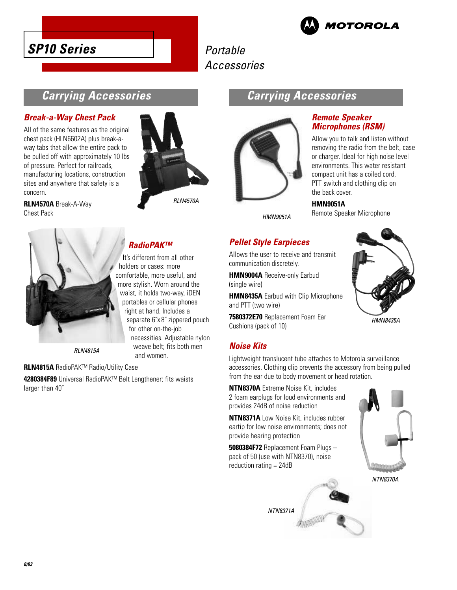



# Portable Accessories

# **Carrying Accessories**

#### **Break-a-Way Chest Pack**

All of the same features as the original chest pack (HLN6602A) plus break-away tabs that allow the entire pack to be pulled off with approximately 10 lbs of pressure. Perfect for railroads, manufacturing locations, construction sites and anywhere that safety is a concern.

**RLN4570A** Break-A-Way Chest Pack



# **Carrying Accessories**



## HMN9051A

## **Remote Speaker Microphones (RSM)**

Allow you to talk and listen without removing the radio from the belt, case or charger. Ideal for high noise level environments. This water resistant compact unit has a coiled cord, PTT switch and clothing clip on the back cover.

**HMN9051A**

Remote Speaker Microphone



# **RadioPAK™**

It's different from all other holders or cases: more comfortable, more useful, and more stylish. Worn around the waist, it holds two-way, iDEN portables or cellular phones right at hand. Includes a separate 6˝x 8˝ zippered pouch for other on-the-job necessities. Adjustable nylon weave belt; fits both men and women.

**RI N4815A** 

#### **RLN4815A** RadioPAK™ Radio/Utility Case

**4280384F89** Universal RadioPAK™ Belt Lengthener; fits waists larger than 40˝

# **Pellet Style Earpieces**

Allows the user to receive and transmit communication discretely.

**HMN9004A** Receive-only Earbud (single wire)

**HMN8435A** Earbud with Clip Microphone and PTT (two wire)

**7580372E70** Replacement Foam Ear Cushions (pack of 10)

#### **Noise Kits**

Lightweight translucent tube attaches to Motorola surveillance accessories. Clothing clip prevents the accessory from being pulled from the ear due to body movement or head rotation.

**NTN8370A** Extreme Noise Kit, includes 2 foam earplugs for loud environments and provides 24dB of noise reduction

**NTN8371A** Low Noise Kit, includes rubber eartip for low noise environments; does not provide hearing protection

**5080384F72** Replacement Foam Plugs – pack of 50 (use with NTN8370), noise reduction rating = 24dB







HMN8435A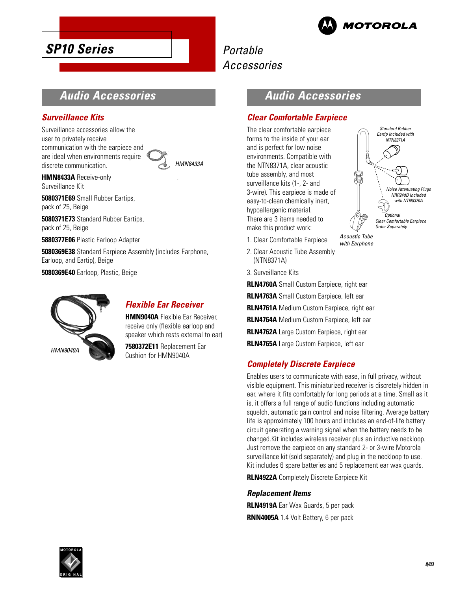

# Portable Accessories

# **Audio Accessories**

# **Surveillance Kits**

Surveillance accessories allow the user to privately receive communication with the earpiece and are ideal when environments require discrete communication.



**HMN8433A** Receive-only Surveillance Kit

**5080371E69** Small Rubber Eartips, pack of 25, Beige

**5080371E73** Standard Rubber Eartips, pack of 25, Beige

**5880377E06** Plastic Earloop Adapter

**5080369E38** Standard Earpiece Assembly (includes Earphone, Earloop, and Eartip), Beige

**5080369E40** Earloop, Plastic, Beige



# **Flexible Ear Receiver**

**HMN9040A** Flexible Ear Receiver, receive only (flexible earloop and speaker which rests external to ear)

**7580372E11** Replacement Ear Cushion for HMN9040A

# **Audio Accessories**

## **Clear Comfortable Earpiece**

The clear comfortable earpiece forms to the inside of your ear and is perfect for low noise environments. Compatible with the NTN8371A, clear acoustic tube assembly, and most surveillance kits (1-, 2- and 3-wire). This earpiece is made of easy-to-clean chemically inert, hypoallergenic material. There are 3 items needed to make this product work:



with Earphone

- 1. Clear Comfortable Earpiece
- 2. Clear Acoustic Tube Assembly (NTN8371A)

3. Surveillance Kits

**RLN4760A** Small Custom Earpiece, right ear **RLN4763A** Small Custom Earpiece, left ear **RLN4761A** Medium Custom Earpiece, right ear **RLN4764A** Medium Custom Earpiece, left ear **RLN4762A** Large Custom Earpiece, right ear

**RLN4765A** Large Custom Earpiece, left ear

## **Completely Discrete Earpiece**

Enables users to communicate with ease, in full privacy, without visible equipment. This miniaturized receiver is discretely hidden in ear, where it fits comfortably for long periods at a time. Small as it is, it offers a full range of audio functions including automatic squelch, automatic gain control and noise filtering. Average battery life is approximately 100 hours and includes an end-of-life battery circuit generating a warning signal when the battery needs to be changed.Kit includes wireless receiver plus an inductive neckloop. Just remove the earpiece on any standard 2- or 3-wire Motorola surveillance kit (sold separately) and plug in the neckloop to use. Kit includes 6 spare batteries and 5 replacement ear wax guards.

**RLN4922A** Completely Discrete Earpiece Kit

#### **Replacement Items**

**RLN4919A** Ear Wax Guards, 5 per pack **RNN4005A** 1.4 Volt Battery, 6 per pack

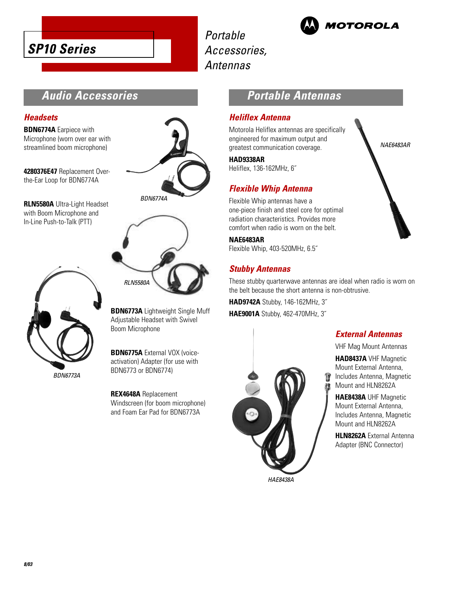Portable Accessories, Antennas



# **Audio Accessories**

#### **Headsets**

**BDN6774A** Earpiece with Microphone (worn over ear with streamlined boom microphone)

**4280376E47** Replacement Overthe-Ear Loop for BDN6774A

**RLN5580A** Ultra-Light Headset with Boom Microphone and In-Line Push-to-Talk (PTT)





BDN6774A



**BDN6773A** Lightweight Single Muff Adjustable Headset with Swivel Boom Microphone

**BDN6775A** External VOX (voiceactivation) Adapter (for use with BDN6773 or BDN6774)

**REX4648A** Replacement Windscreen (for boom microphone) and Foam Ear Pad for BDN6773A

# **Portable Antennas**

#### **Heliflex Antenna**

Motorola Heliflex antennas are specifically engineered for maximum output and greatest communication coverage.

#### **HAD9338AR**

Heliflex, 136-162MHz, 6˝

# **Flexible Whip Antenna**

Flexible Whip antennas have a one-piece finish and steel core for optimal radiation characteristics. Provides more comfort when radio is worn on the belt.

#### **NAE6483AR**

Flexible Whip, 403-520MHz, 6.5˝

## **Stubby Antennas**

These stubby quarterwave antennas are ideal when radio is worn on the belt because the short antenna is non-obtrusive.

Ÿ

**HAD9742A** Stubby, 146-162MHz, 3˝ **HAE9001A** Stubby, 462-470MHz, 3˝



HAE8438A

#### **External Antennas**

NAE6483AR

VHF Mag Mount Antennas

**HAD8437A** VHF Magnetic Mount External Antenna, Includes Antenna, Magnetic Mount and HLN8262A

**HAE8438A** UHF Magnetic Mount External Antenna, Includes Antenna, Magnetic Mount and HLN8262A

**HLN8262A** External Antenna Adapter (BNC Connector)